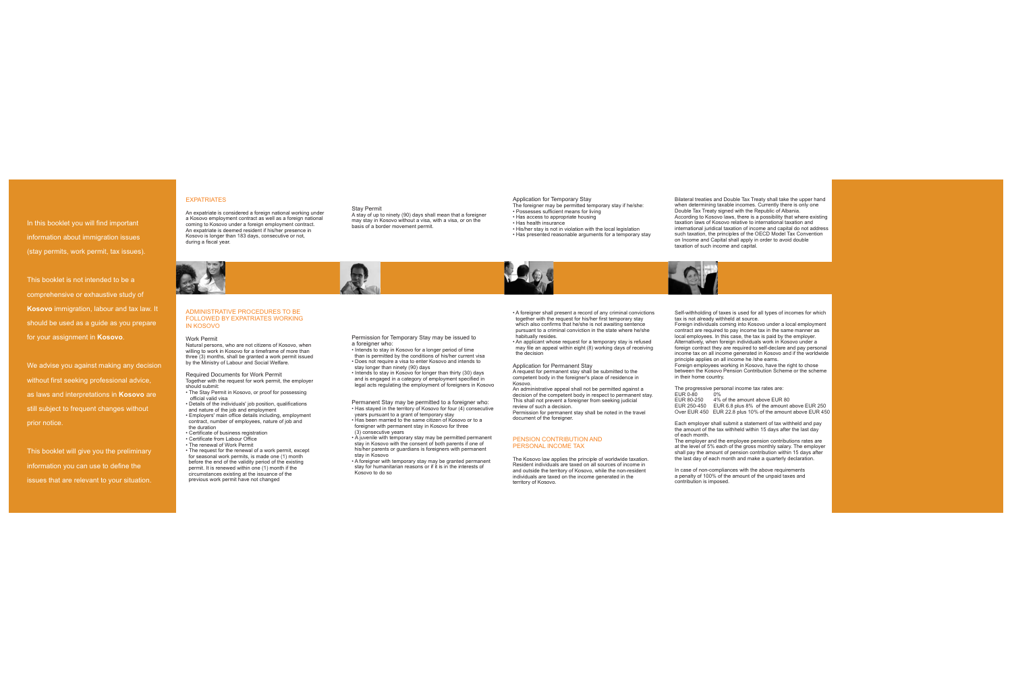In this booklet you will find important information about immigration issues (stay permits, work permit, tax issues).

This booklet is not intended to be acomprehensive or exhaustive study of **Kosovo** immigration, labour and tax law. It should be used as a guide as you prepare for your assignment in **Kosovo**.

We advise you against making any decision without first seeking professional advice, as laws and interpretations in **Kosovo** are still subject to frequent changes without prior notice.

This booklet will give you the preliminary information you can use to define the issues that are relevant to your situation.

Application for Permanent Stay<br>A request for permanent stay shall be submitted to the competent body in the foreigner's place of residence in Kosovo.

- A foreigner shall present a record of any criminal convictions together with the request for his/her first temporary stay which also confirms that he/she is not awaiting sentence pursuant to a criminal conviction in the state where he/she habitually resides.
- An applicant whose request for a temporary stay is refused may file an appeal within eight (8) working days of receiving the decision

 An administrative appeal shall not be permitted against a decision of the competent body in respect to permanent stay. This shall not prevent a foreigner from seeking judicial review of such a decision.

Permission for permanent stay shall be noted in the travel document of the foreigner.

### EXPATRIATES

#### ADMINISTRATIVE PROCEDURES TO BE FOLLOWED BY EXPATRIATES WORKING IN KOSOVO

An expatriate is considered a foreign national working under a Kosovo employment contract as well as a foreign national coming to Kosovo under a foreign employment contract. An expatriate is deemed resident if his/her presence in Kosovo is longer than 183 days, consecutive or not, during a fiscal year.



Natural persons, who are not citizens of Kosovo, when willing to work in Kosovo for a timeframe of more than three (3) months, shall be granted a work permit issued by the Ministry of Labour and Social Welfare.

- should submit:• The Stay Permit in Kosovo, or proof for possessing
- official valid visa• Details of the individuals' job position, qualifications

and nature of the job and employment • Employers' main office details including, employment contract, number of employees, nature of job and the duration

• Certificate of business registration

Together with the request for work permit, the employer Required Documents for Work Permit

- Certificate from Labour Office
- The renewal of Work Permit
- The request for the renewal of a work permit, except for seasonal work permits, is made one (1) month before the end of the validity period of the existing permit. It is renewed within one (1) month if the circumstances existing at the issuance of the previous work permit have not changed

#### Work Permit

A stay of up to ninety (90) days shall mean that a foreigner may stay in Kosovo without a visa, with a visa, or on the

basis of a border movement permit.

- Intends to stay in Kosovo for a longer period of time than is permitted by the conditions of his/her current visa • Does not require a visa to enter Kosovo and intends to stay longer than ninety (90) days
- Intends to stay in Kosovo for longer than thirty (30) days and is engaged in a category of employment specified in legal acts regulating the employment of foreigners in Kosovo
- Has stayed in the territory of Kosovo for four (4) consecutive Permanent Stay may be permitted to a foreigner who:
- years pursuant to a grant of temporary stay Has been married to the same citizen of Kosovo or to a foreigner with permanent stay in Kosovo for three
- (3) consecutive years
- A juvenile with temporary stay may be permitted permanent stay in Kosovo with the consent of both parents if one of his/her parents or guardians is foreigners with permanent stay in Kosovo

• A foreigner with temporary stay may be granted permanent stay for humanitarian reasons or if it is in the interests of Kosovo to do so

Stay Permit

Permission for Temporary Stay may be issued to a foreigner who:

Self-withholding of taxes is used for all types of incomes for which tax is not already withheld at source.

Foreign individuals coming into Kosovo under a local employment contract are required to pay income tax in the same manner as local employees. In this case, the tax is paid by the employer. Alternatively, when foreign individuals work in Kosovo under a foreign contract they are required to self-declare and pay personal income tax on all income generated in Kosovo and if the worldwide principle applies on all income he /she earns.

Foreign employees working in Kosovo, have the right to chose between the Kosovo Pension Contribution Scheme or the scheme in their home country.

The progressive personal income tax rates are:

EUR 0-80 0% EUR 80-250 4% of the amount above EUR 80 EUR 250-450 EUR 6.8 plus 8% of the amount above EUR 250 Over EUR 450 EUR 22.8 plus 10% of the amount above EUR 450

Each employer shall submit a statement of tax withheld and pay the amount of the tax withheld within 15 days after the last day of each month.

 The employer and the employee pension contributions rates are at the level of 5% each of the gross monthly salary. The employer shall pay the amount of pension contribution within 15 days after the last day of each month and make a quarterly declaration.

In case of non-compliances with the above requirements a penalty of 100% of the amount of the unpaid taxes and contribution is imposed.

#### PENSION CONTRIBUTION ANDPERSONAL INCOME TAX

The Kosovo law applies the principle of worldwide taxation. Resident individuals are taxed on all sources of income in and outside the territory of Kosovo, while the non-resident individuals are taxed on the income generated in the territory of Kosovo.



- The foreigner may be permitted temporary stay if he/she: • Possesses sufficient means for living
- Has access to appropriate housing
- Has health insurance His/her stay is not in violation with the local legislation
- Has presented reasonable arguments for a temporary stay



Bilateral treaties and Double Tax Treaty shall take the upper hand when determining taxable incomes. Currently there is only one Double Tax Treaty signed with the Republic of Albania. According to Kosovo laws, there is a possibility that where existing taxation laws of Kosovo relative to international taxation and international juridical taxation of income and capital do not address such taxation, the principles of the OECD Model Tax Convention on Income and Capital shall apply in order to avoid double taxation of such income and capital.

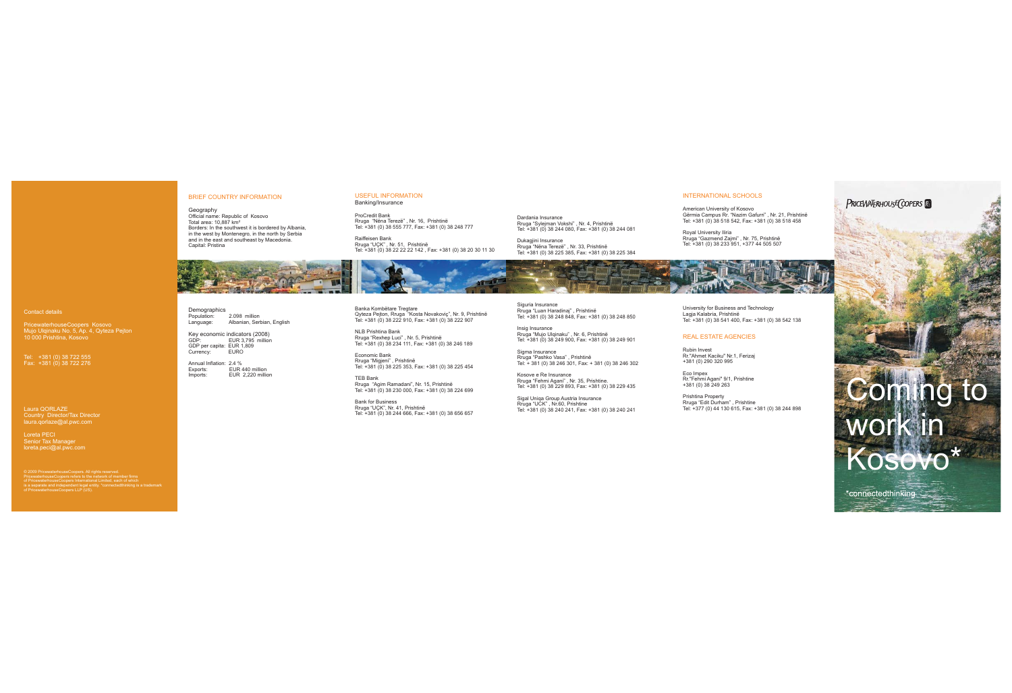

PRICEWATERHOUSE COPERS

经验

Insig Insurance Rruga "Mujo Ulqinaku" , Nr. 6, Prishtinë Tel: +381 (0) 38 249 900, Fax: +381 (0) 38 249 901

Sigma Insurance Rruga "Pashko Vasa" , Prishtinë Tel: + 381 (0) 38 246 301, Fax: + 381 (0) 38 246 302

Kosove e Re Insurance Rruga "Fehmi Agani" , Nr. 35, Prishtine. Tel: +381 (0) 38 229 893, Fax: +381 (0) 38 229 435

Sigal Uniqa Group Austria Insurance Rruga "UCK" , Nr.60, Prishtine Tel: +381 (0) 38 240 241, Fax: +381 (0) 38 240 241

Dardania Insurance Rruga "Sylejman Vokshi" , Nr. 4, Prishtinë Tel: +381 (0) 38 244 080, Fax: +381 (0) 38 244 081

Demographics<br>Population: 2.098 million Language: Albanian, Serbian, English

Official name: Republic of Kosovo<br>Total area: 10,887 km² Borders: In the southwest it is bordered by Albania, in the west by Montenegro, in the north by Serbia and in the east and southeast by Macedonia. Capital: Pristina Geography

Dukagjini Insurance Rruga "Nëna Terezë" , Nr. 33, Prishtinë Tel: +381 (0) 38 225 385, Fax: +381 (0) 38 225 384



Siguria Insurance Rruga "Luan Haradinaj" , Prishtinë Tel: +381 (0) 38 248 848, Fax: +381 (0) 38 248 850

#### BRIEF COUNTRY INFORMATION

GDP: EUR 3,795 million GDP per capita: EUR 1,809 Currency: EURO Key economic indicators (2008)

Annual Inflation: 2.4 % Exports: EUR 440 million Imports: EUR 2,220 million

© 2009 PricewaterhouseCoopers. All rights reserved. PricewaterhouseCoopers refers to the network of member firms of PricewaterhouseCoopers International Limited, each of which is a separate and independent legal entity. \*connectedthinking is a trademark of PricewaterhouseCoopers LLP (US).

ProCredit Bank Rruga "Nëna Terezë" , Nr. 16, Prishtinë Tel: +381 (0) 38 555 777, Fax: +381 (0) 38 248 777

Raiffeisen Bank Rruga "UÇK" , Nr. 51, Prishtinë Tel: +381 (0) 38 22 22 22 142 , Fax: +381 (0) 38 20 30 11 30

Banka Kombëtare Tregtare Qyteza Pejton, Rruga "Kosta Novakoviç", Nr. 9, Prishtinë Tel: +381 (0) 38 222 910, Fax: +381 (0) 38 222 907

#### USEFUL INFORMATION Banking/Insurance

NLB Prishtina Bank Rruga "Rexhep Luci" , Nr. 5, Prishtinë Tel: +381 (0) 38 234 111, Fax: +381 (0) 38 246 189

Economic Bank Rruga "Migjeni" , Prishtinë Tel: +381 (0) 38 225 353, Fax: +381 (0) 38 225 454

TEB Bank Rruga "Agim Ramadani", Nr. 15, Prishtinë Tel: +381 (0) 38 230 000, Fax: +381 (0) 38 224 699

Bank for Business Rruga "UÇK", Nr. 41, Prishtinë Tel: +381 (0) 38 244 666, Fax: +381 (0) 38 656 657

#### REAL ESTATE AGENCIES

Prishtina Property Rruga "Edit Durham" , Prishtine Tel: +377 (0) 44 130 615, Fax: +381 (0) 38 244 898

Rubin Invest Rr."Ahmet Kaciku" Nr.1, Ferizaj +381 (0) 290 320 995

Eco Impex Rr."Fehmi Agani" 9/1, Prishtine +381 (0) 38 249 263

Contact details

PricewaterhouseCoopers Kosovo Mujo Ulqinaku No. 5, Ap. 4, Qyteza Pejton 10 000 Prishtina, Kosovo

Tel: +381 (0) 38 722 555 Fax: +381 (0) 38 722 276

Laura QORLAZE Country Director/Tax Director laura.qorlaze@al.pwc.com

Loreta PECI Senior Tax Manager loreta.peci@al.pwc.com

#### INTERNATIONAL SCHOOLS

American University of Kosovo Gërmia Campus Rr. "Nazim Gafurri" , Nr. 21, Prishtinë Tel: +381 (0) 38 518 542, Fax: +381 (0) 38 518 458

Royal University Iliria Rruga "Gazmend Zajmi" , Nr. 75, Prishtinë Tel: +381 (0) 38 233 951, +377 44 505 507



University for Business and Technology Lagja Kalabria, Prishtinë Tel: +381 (0) 38 541 400, Fax: +381 (0) 38 542 138